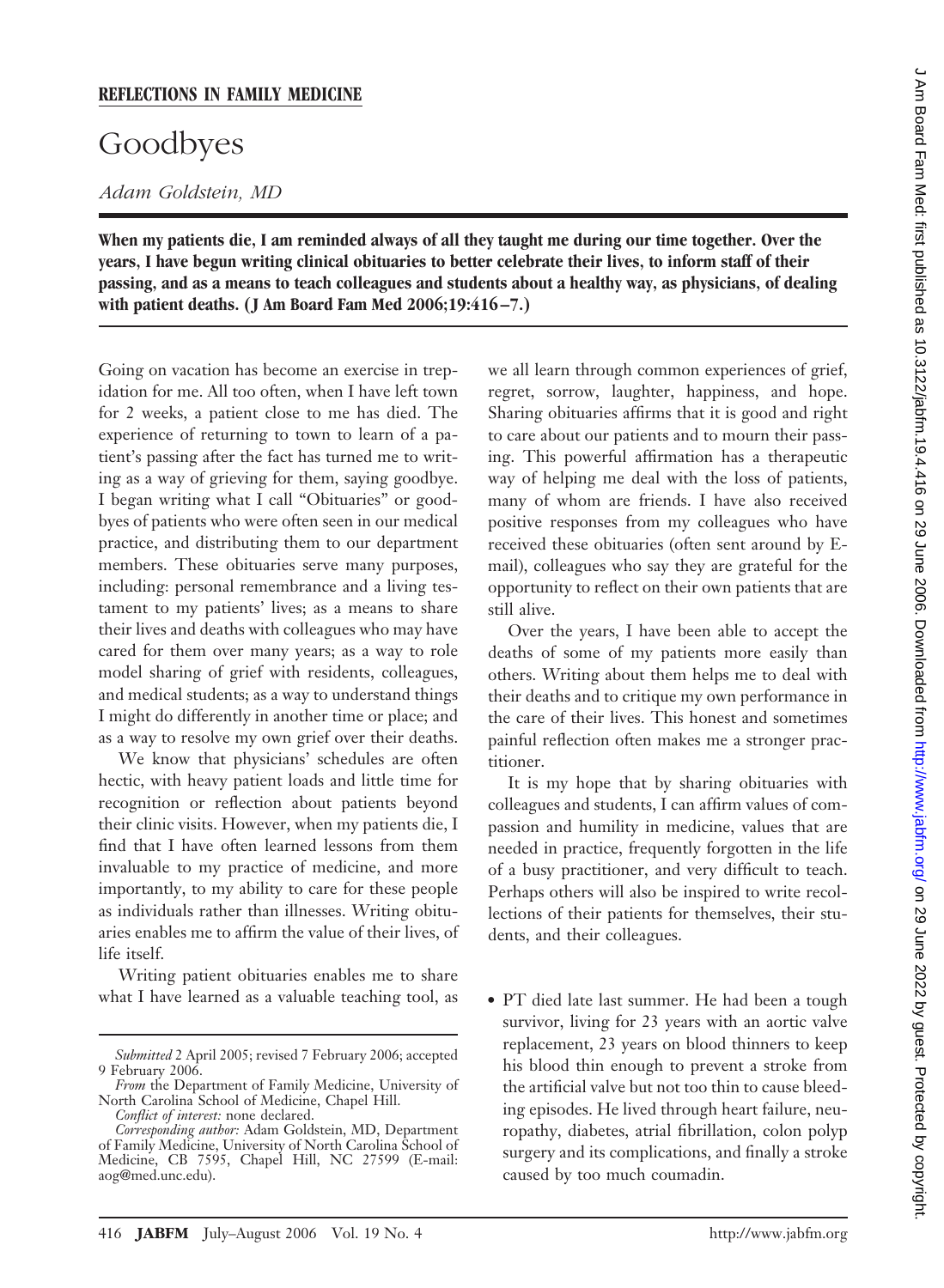## Goodbyes

## *Adam Goldstein, MD*

**When my patients die, I am reminded always of all they taught me during our time together. Over the years, I have begun writing clinical obituaries to better celebrate their lives, to inform staff of their passing, and as a means to teach colleagues and students about a healthy way, as physicians, of dealing** with patient deaths. (J Am Board Fam Med 2006;19:416–7.)

Going on vacation has become an exercise in trepidation for me. All too often, when I have left town for 2 weeks, a patient close to me has died. The experience of returning to town to learn of a patient's passing after the fact has turned me to writing as a way of grieving for them, saying goodbye. I began writing what I call "Obituaries" or goodbyes of patients who were often seen in our medical practice, and distributing them to our department members. These obituaries serve many purposes, including: personal remembrance and a living testament to my patients' lives; as a means to share their lives and deaths with colleagues who may have cared for them over many years; as a way to role model sharing of grief with residents, colleagues, and medical students; as a way to understand things I might do differently in another time or place; and as a way to resolve my own grief over their deaths.

We know that physicians' schedules are often hectic, with heavy patient loads and little time for recognition or reflection about patients beyond their clinic visits. However, when my patients die, I find that I have often learned lessons from them invaluable to my practice of medicine, and more importantly, to my ability to care for these people as individuals rather than illnesses. Writing obituaries enables me to affirm the value of their lives, of life itself.

Writing patient obituaries enables me to share what I have learned as a valuable teaching tool, as we all learn through common experiences of grief, regret, sorrow, laughter, happiness, and hope. Sharing obituaries affirms that it is good and right to care about our patients and to mourn their passing. This powerful affirmation has a therapeutic way of helping me deal with the loss of patients, many of whom are friends. I have also received positive responses from my colleagues who have received these obituaries (often sent around by Email), colleagues who say they are grateful for the opportunity to reflect on their own patients that are still alive.

Over the years, I have been able to accept the deaths of some of my patients more easily than others. Writing about them helps me to deal with their deaths and to critique my own performance in the care of their lives. This honest and sometimes painful reflection often makes me a stronger practitioner.

It is my hope that by sharing obituaries with colleagues and students, I can affirm values of compassion and humility in medicine, values that are needed in practice, frequently forgotten in the life of a busy practitioner, and very difficult to teach. Perhaps others will also be inspired to write recollections of their patients for themselves, their students, and their colleagues.

• PT died late last summer. He had been a tough survivor, living for 23 years with an aortic valve replacement, 23 years on blood thinners to keep his blood thin enough to prevent a stroke from the artificial valve but not too thin to cause bleeding episodes. He lived through heart failure, neuropathy, diabetes, atrial fibrillation, colon polyp surgery and its complications, and finally a stroke caused by too much coumadin.

*Submitted* 2 April 2005; revised 7 February 2006; accepted 9 February 2006.

*From* the Department of Family Medicine, University of North Carolina School of Medicine, Chapel Hill.

*Conflict of interest:* none declared.

*Corresponding author:* Adam Goldstein, MD, Department of Family Medicine, University of North Carolina School of Medicine, CB 7595, Chapel Hill, NC 27599 (E-mail: aog@med.unc.edu).